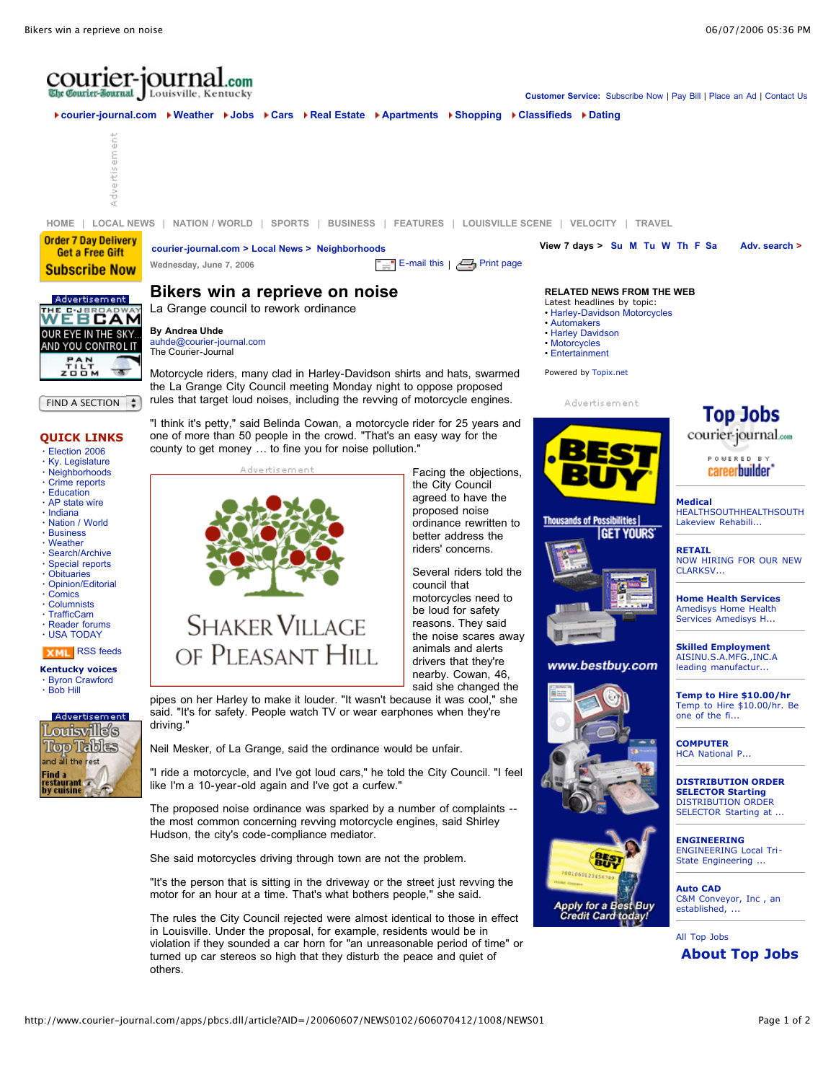

**Customer Service:** Subscribe Now | Pay Bill | Place an Ad | Contact Us

**courier-journal.com Weather Jobs Cars Real Estate Apartments Shopping Classifieds Dating**

**HOME** | **LOCAL NEWS** | **NATION / WORLD** | **SPORTS** | **BUSINESS** | **FEATURES** | **LOUISVILLE SCENE** | **VELOCITY** | **TRAVEL**

**Order 7 Day Delivery Get a Free Gift Subscribe Now** 

tisem

Adve

courier-journal.com > Local News > Neighborhoods View 7 days > Su M Tu W Th F Sa Adv. search > **Wednesday, June 7, 2006 E-mail this | Print page** 

**Bikers win a reprieve on noise** Advertisement La Grange council to rework ordinance

**EBCAM** OUR EYE IN THE SKY. AND YOU CONTROL IT  $F_{\text{L}+}$ 

**By Andrea Uhde** auhde@courier-journal.com The Courier-Journal

FIND A SECTION : Motorcycle riders, many clad in Harley-Davidson shirts and hats, swarmed the La Grange City Council meeting Monday night to oppose proposed rules that target loud noises, including the revving of motorcycle engines.

> "I think it's petty," said Belinda Cowan, a motorcycle rider for 25 years and one of more than 50 people in the crowd. "That's an easy way for the

> > Advertisement

**SHAKER VILLAGE** 

OF PLEASANT HILL

## **QUICK LINKS**

- **·** Election 2006
- **·** Ky. Legislature
- **·** Neighborhoods
- **·** Crime reports
- **·** Education
- **·** AP state wire
- **·** Indiana
- **·** Nation / World
- **·** Business **·** Weather
- **·** Search/Archive
- **·** Special reports
- **·** Obituaries
- **·** Opinion/Editorial
- **·** Comics
- **·** Columnists
- **·** TrafficCam
- **·** Reader forums **·** USA TODAY

**XML** RSS feeds

**Kentucky voices ·** Byron Crawford





county to get money … to fine you for noise pollution." Facing the objections, the City Council agreed to have the proposed noise ordinance rewritten to

better address the riders' concerns. Several riders told the council that motorcycles need to

be loud for safety reasons. They said the noise scares away animals and alerts drivers that they're nearby. Cowan, 46, said she changed the

pipes on her Harley to make it louder. "It wasn't because it was cool," she said. "It's for safety. People watch TV or wear earphones when they're driving."

Neil Mesker, of La Grange, said the ordinance would be unfair.

"I ride a motorcycle, and I've got loud cars," he told the City Council. "I feel like I'm a 10-year-old again and I've got a curfew."

The proposed noise ordinance was sparked by a number of complaints - the most common concerning revving motorcycle engines, said Shirley Hudson, the city's code-compliance mediator.

She said motorcycles driving through town are not the problem.

"It's the person that is sitting in the driveway or the street just revving the motor for an hour at a time. That's what bothers people," she said.

The rules the City Council rejected were almost identical to those in effect in Louisville. Under the proposal, for example, residents would be in violation if they sounded a car horn for "an unreasonable period of time" or turned up car stereos so high that they disturb the peace and quiet of others.



**RELATED NEWS FROM THE WEB** Latest headlines by topic: • Harley-Davidson Motorcycles

• Automakers • Harley Davidson • Motorcycles • Entertainment Powered by Topix.net



**Medical** HEALTHSOUTHHEALTHSOUTH Lakeview Rehabili...

**RETAIL** NOW HIRING FOR OUR NEW CLARKSV...

**Home Health Services** Amedisys Home Health Services Amedisys H...

**Skilled Employment** AISINU.S.A.MFG.,INC.A leading manufactur...

**Temp to Hire \$10.00/hr** Temp to Hire \$10.00/hr. Be one of the fi...

**COMPUTER** HCA National P...

**DISTRIBUTION ORDER SELECTOR Starting** DISTRIBUTION ORDER SELECTOR Starting at ...

**ENGINEERING** ENGINEERING Local Tri-State Engineering ...

**Auto CAD** C&M Conveyor, Inc , an established, ...

All Top Jobs **About Top Jobs**



www.bestbuy.com

Apply for a Best Buy Credit Card today